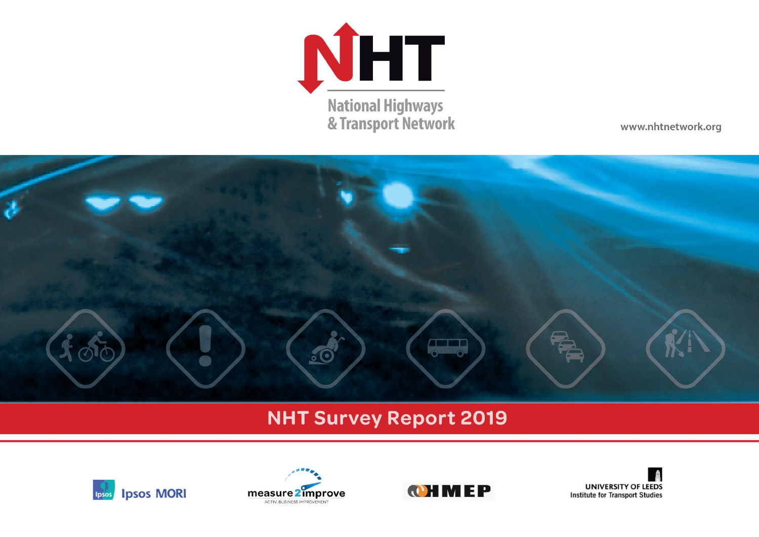

www.nhtnetwork.org



# **NHT Survey Report 2019**







**UNIVERSITY OF LEEDS Institute for Transport Studies**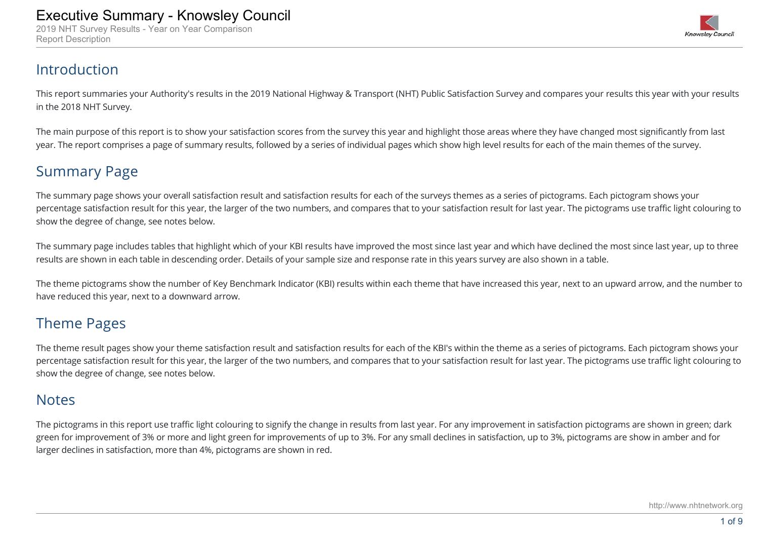2019 NHT Survey Results - Year on Year Comparison Report Description



#### Introduction

This report summaries your Authority's results in the 2019 National Highway & Transport (NHT) Public Satisfaction Survey and compares your results this year with your results in the 2018 NHT Survey.

The main purpose of this report is to show your satisfaction scores from the survey this year and highlight those areas where they have changed most significantly from last year. The report comprises a page of summary results, followed by a series of individual pages which show high level results for each of the main themes of the survey.

#### Summary Page

The summary page shows your overall satisfaction result and satisfaction results for each of the surveys themes as a series of pictograms. Each pictogram shows your percentage satisfaction result for this year, the larger of the two numbers, and compares that to your satisfaction result for last year. The pictograms use traffic light colouring to show the degree of change, see notes below.

The summary page includes tables that highlight which of your KBI results have improved the most since last year and which have declined the most since last year, up to three results are shown in each table in descending order. Details of your sample size and response rate in this years survey are also shown in a table.

The theme pictograms show the number of Key Benchmark Indicator (KBI) results within each theme that have increased this year, next to an upward arrow, and the number to have reduced this year, next to a downward arrow.

#### Theme Pages

The theme result pages show your theme satisfaction result and satisfaction results for each of the KBI's within the theme as a series of pictograms. Each pictogram shows your percentage satisfaction result for this year, the larger of the two numbers, and compares that to your satisfaction result for last year. The pictograms use traffic light colouring to show the degree of change, see notes below.

#### **Notes**

The pictograms in this report use traffic light colouring to signify the change in results from last year. For any improvement in satisfaction pictograms are shown in green; dark green for improvement of 3% or more and light green for improvements of up to 3%. For any small declines in satisfaction, up to 3%, pictograms are show in amber and for larger declines in satisfaction, more than 4%, pictograms are shown in red.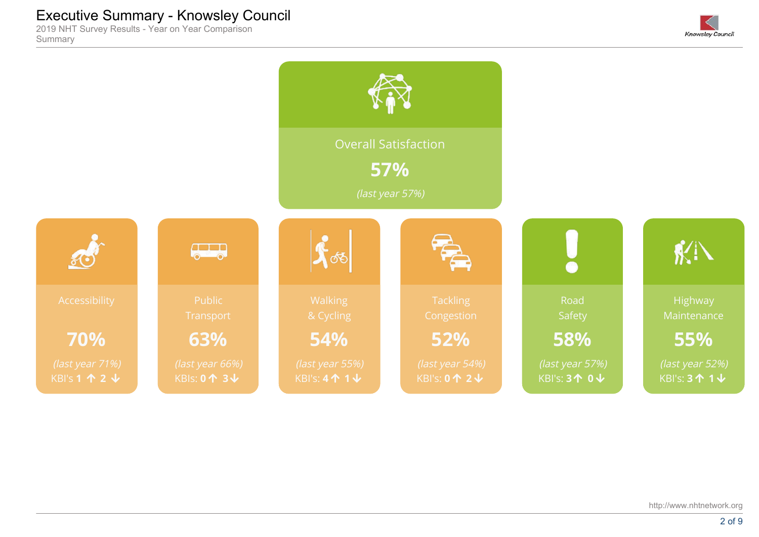2019 NHT Survey Results - Year on Year Comparison Summary



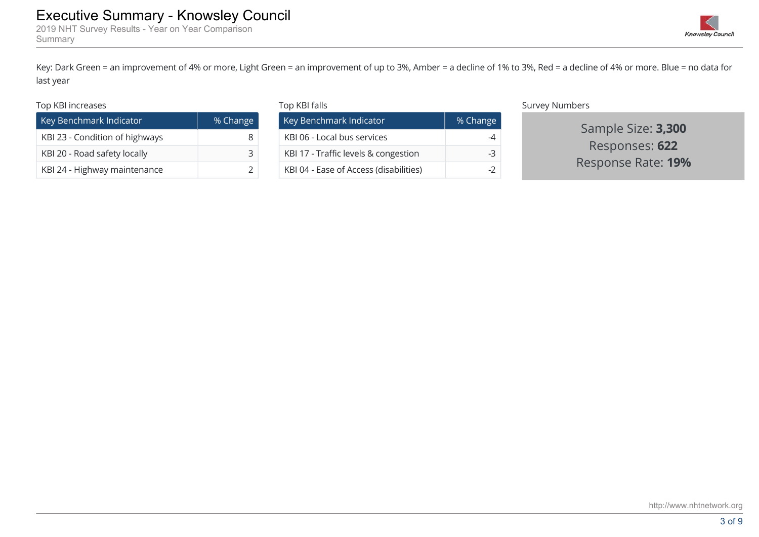Key: Dark Green = an improvement of 4% or more, Light Green = an improvement of up to 3%, Amber = a decline of 1% to 3%, Red = a decline of 4% or more. Blue = no data for last year Executive Summary - Knowsley Council<br>
Summary Summary - Summary - Summary - Summary - Summary - Summary - Summary<br>
Key: Dark Green = an improvement of 4% or more, Light Green = an improvement of up to 3%, Amber = a decline

#### Top KBI increases

Summary

| Key Benchmark Indicator        | % Change |
|--------------------------------|----------|
| KBI 23 - Condition of highways |          |
| KBI 20 - Road safety locally   |          |
| KBI 24 - Highway maintenance   |          |

| Top KBI falls                          |          |
|----------------------------------------|----------|
| Key Benchmark Indicator                | % Change |
| KBI 06 - Local bus services            |          |
| KBI 17 - Traffic levels & congestion   | -3       |
| KBI 04 - Ease of Access (disabilities) |          |

Survey Numbers

Sample Size: **3,300** Responses: **622**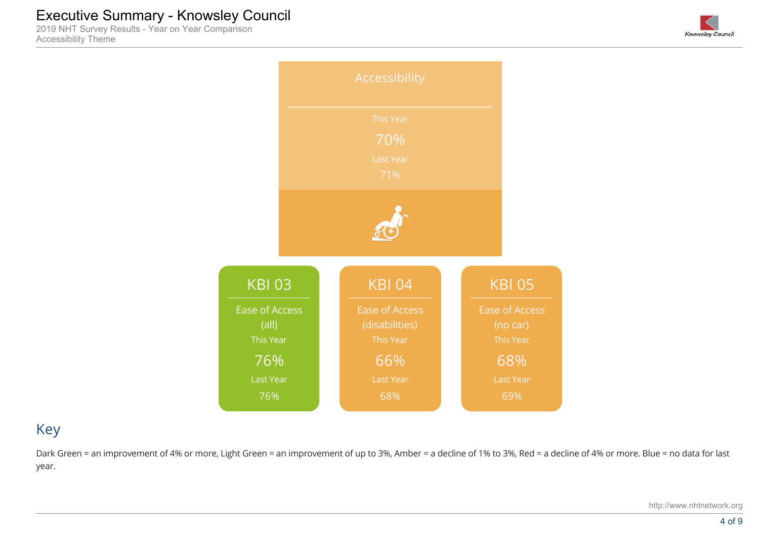2019 NHT Survey Results - Year on Year Comparison Accessibility Theme





## Key

Dark Green = an improvement of 4% or more, Light Green = an improvement of up to 3%, Amber = a decline of 1% to 3%, Red = a decline of 4% or more. Blue = no data for last year.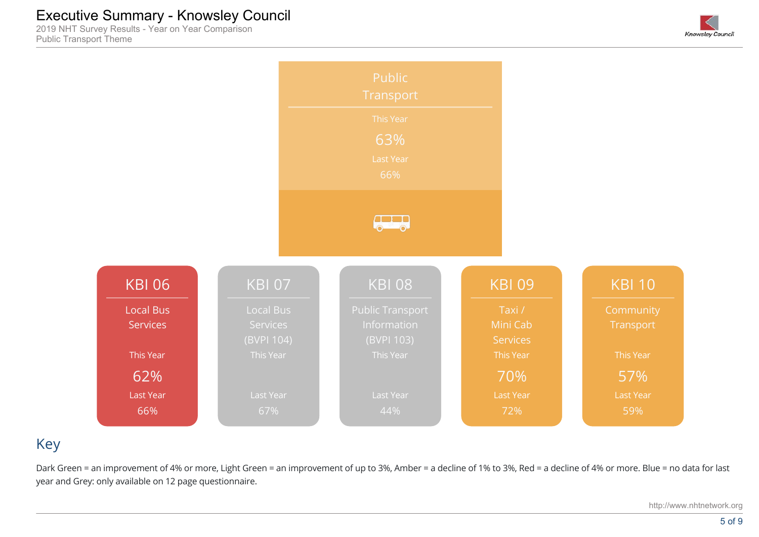2019 NHT Survey Results - Year on Year Comparison Public Transport Theme





## Key

Dark Green = an improvement of 4% or more, Light Green = an improvement of up to 3%, Amber = a decline of 1% to 3%, Red = a decline of 4% or more. Blue = no data for last year and Grey: only available on 12 page questionnaire.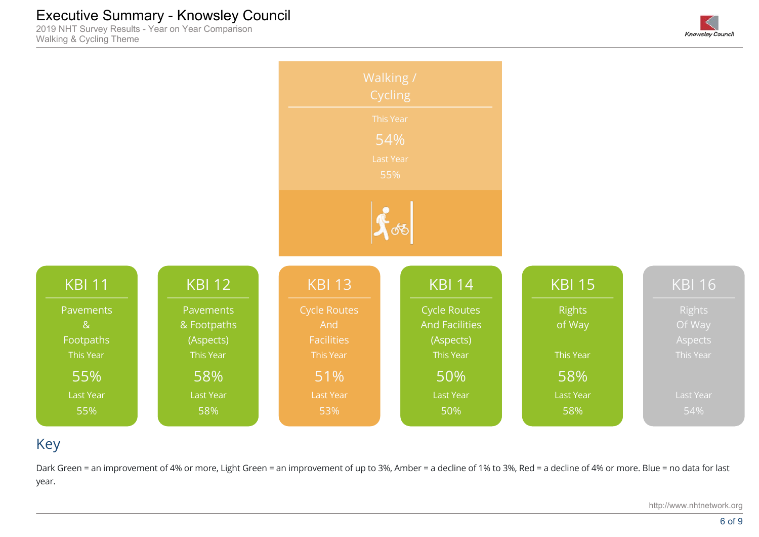2019 NHT Survey Results - Year on Year Comparison Walking & Cycling Theme





## Key

Dark Green = an improvement of 4% or more, Light Green = an improvement of up to 3%, Amber = a decline of 1% to 3%, Red = a decline of 4% or more. Blue = no data for last year.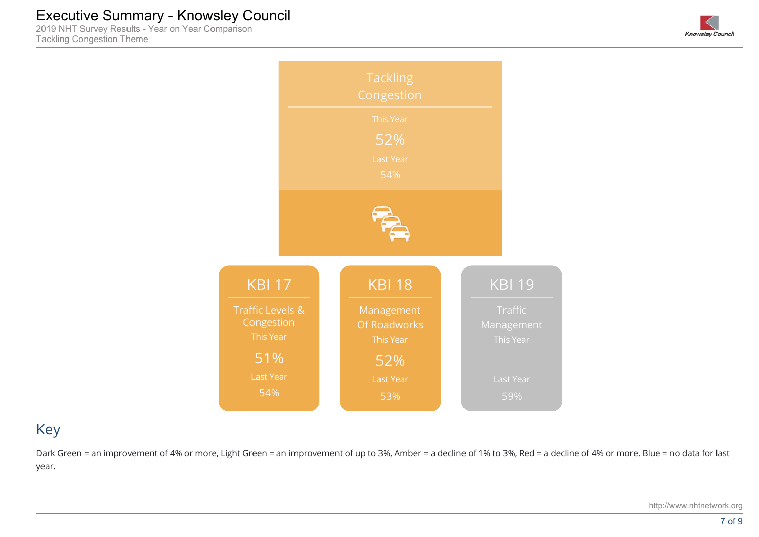2019 NHT Survey Results - Year on Year Comparison Tackling Congestion Theme





## Key

Dark Green = an improvement of 4% or more, Light Green = an improvement of up to 3%, Amber = a decline of 1% to 3%, Red = a decline of 4% or more. Blue = no data for last year.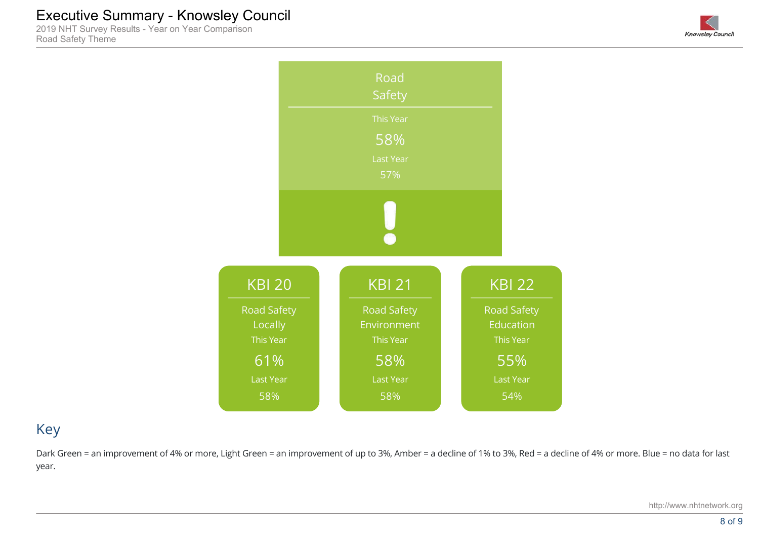2019 NHT Survey Results - Year on Year Comparison Road Safety Theme





## Key

Dark Green = an improvement of 4% or more, Light Green = an improvement of up to 3%, Amber = a decline of 1% to 3%, Red = a decline of 4% or more. Blue = no data for last year.